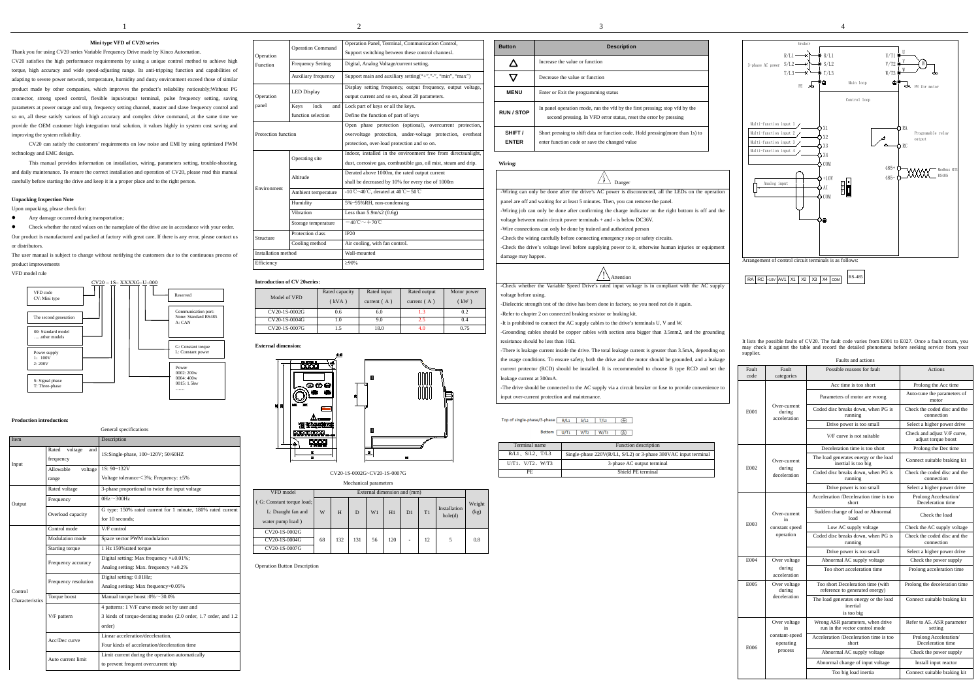# **Mini type VFD of CV20 series**

Thank you for using CV20 series Variable Frequency Drive made by Kinco Automation. CV20 satisfies the high performance requirements by using a unique control method to achieve high torque, high accuracy and wide speed-adjusting range. Its anti-tripping function and capabilities of adapting to severe power network, temperature, humidity and dusty environment exceed those of similar product made by other companies, which improves the product's reliability noticeably;Without PG connector, strong speed control, flexible input/output terminal, pulse frequency setting, saving parameters at power outage and stop, frequency setting channel, master and slave frequency control and so on, all these satisfy various of high accuracy and complex drive command, at the same time we provide the OEM customer high integration total solution, it values highly in system cost saving and improving the system reliability.

- Any damage occurred during transportation;
- Check whether the rated values on the nameplate of the drive are in accordance with your order.

CV20 can satisfy the customers' requirements on low noise and EMI by using optimized PWM technology and EMC design.

This manual provides information on installation, wiring, parameters setting, trouble-shooting, and daily maintenance. To ensure the correct installation and operation of CV20, please read this manual carefully before starting the drive and keep it in a proper place and to the right person.

#### **Unpacking Inspection Note**

Upon unpacking, please check for:

Our product is manufactured and packed at factory with great care. If there is any error, please contact us or distributors.

The user manual is subject to change without notifying the customers due to the continuous process of product improvements

VFD model rule

### **Production introduction:**

| <b>Item</b>     |                                      | Description                                                                                                               |
|-----------------|--------------------------------------|---------------------------------------------------------------------------------------------------------------------------|
| Input           | Rated<br>voltage<br>and<br>frequency | 1S:Single-phase, 100~120V; 50/60HZ                                                                                        |
|                 | Allowable<br>voltage<br>range        | $1S: 90 - 132V$<br>Voltage tolerance $\leq$ 3%; Frequency: $\pm$ 5%                                                       |
|                 | Rated voltage                        | 3-phase proportional to twice the input voltage                                                                           |
| Output          | Frequency                            | $0Hz\sim 300Hz$                                                                                                           |
|                 | Overload capacity                    | G type: 150% rated current for 1 minute, 180% rated current<br>for 10 seconds:                                            |
|                 | Control mode                         | V/F control                                                                                                               |
|                 | Modulation mode                      | Space vector PWM modulation                                                                                               |
|                 | Starting torque                      | 1 Hz 150% rated torque                                                                                                    |
|                 | Frequency accuracy                   | Digital setting: Max frequency $\times \pm 0.01\%$ ;<br>Analog setting: Max. frequency $\times\pm0.2\%$                   |
| Control         | Frequency resolution                 | Digital setting: 0.01Hz;<br>Analog setting: Max frequency×0.05%                                                           |
| Characteristics | Torque boost                         | Manual torque boost :0% $\sim$ 30.0%                                                                                      |
|                 | V/F pattern                          | 4 patterns: 1 V/F curve mode set by user and<br>3 kinds of torque-derating modes (2.0 order, 1.7 order, and 1.2<br>order) |
|                 | Acc/Dec curve                        | Linear acceleration/deceleration.<br>Four kinds of acceleration/deceleration time                                         |
|                 | Auto current limit                   | Limit current during the operation automatically<br>to prevent frequent overcurrent trip                                  |

#### Attention  $\overline{1}$

-Grounding cables should be copper cables with section area bigger than 3.5mm2, and the grounding resistance should be less than  $10\Omega$ .

| Operation                  | <b>Operation Command</b> | Operation Panel, Terminal, Communication Control,<br>Support switching between these control channesl.                                                                 |  |  |  |  |  |  |  |
|----------------------------|--------------------------|------------------------------------------------------------------------------------------------------------------------------------------------------------------------|--|--|--|--|--|--|--|
| Function                   | <b>Frequency Setting</b> | Digital, Analog Voltage/current setting.                                                                                                                               |  |  |  |  |  |  |  |
|                            | Auxiliary frequency      | Support main and auxiliary setting("+","-", "min", "max")                                                                                                              |  |  |  |  |  |  |  |
| Operation                  | <b>LED Display</b>       | Display setting frequency, output frequency, output voltage,<br>output current and so on, about 20 parameters.                                                         |  |  |  |  |  |  |  |
| panel                      | Keys<br>lock<br>and      | Lock part of keys or all the keys.                                                                                                                                     |  |  |  |  |  |  |  |
|                            | function selection       | Define the function of part of keys                                                                                                                                    |  |  |  |  |  |  |  |
| Protection function        |                          | Open phase protection (optional), overcurrent protection,<br>overvoltage protection, under-voltage protection, overheat<br>protection, over-load protection and so on. |  |  |  |  |  |  |  |
|                            | Operating site           | Indoor, installed in the environment free from directsunlight,<br>dust, corrosive gas, combustible gas, oil mist, steam and drip.                                      |  |  |  |  |  |  |  |
|                            | Altitude                 | Derated above 1000m, the rated output current<br>shall be decreased by 10% for every rise of 1000m                                                                     |  |  |  |  |  |  |  |
| Environment                | Ambient temperature      | -10°C ~40°C, derated at 40°C ~ 50°C                                                                                                                                    |  |  |  |  |  |  |  |
|                            | Humidity                 | 5%~95%RH, non-condensing                                                                                                                                               |  |  |  |  |  |  |  |
|                            | Vibration                | Less than $5.9 \text{m/s}$ 2 (0.6g)                                                                                                                                    |  |  |  |  |  |  |  |
|                            | Storage temperature      | $-40^{\circ}$ C $\sim$ $+70^{\circ}$ C                                                                                                                                 |  |  |  |  |  |  |  |
| Structure                  | Protection class         | IP20                                                                                                                                                                   |  |  |  |  |  |  |  |
|                            | Cooling method           | Air cooling, with fan control.                                                                                                                                         |  |  |  |  |  |  |  |
| <b>Installation</b> method |                          | Wall-mounted                                                                                                                                                           |  |  |  |  |  |  |  |
| Efficiency                 |                          | $>90\%$                                                                                                                                                                |  |  |  |  |  |  |  |
|                            |                          |                                                                                                                                                                        |  |  |  |  |  |  |  |

## **Introduction of CV 20series:**

| Model of VFD  | Rated capacity<br>(kVA) | Rated input<br>current $(A)$ | Rated output<br>current $(A)$ | Motor power<br>kW |
|---------------|-------------------------|------------------------------|-------------------------------|-------------------|
| CV20-1S-0002G | 0.6                     | 6.0                          | 1.3                           | 0.2               |
| CV20-1S-0004G | 1.0                     | 9.0                          | 2.5                           | 0.4               |
| CV20-1S-0007G | 1.5                     | 18.0                         | 4.0                           | 0.75              |

### **External dimension:**



#### CV20-1S-0002G~CV20-1S-0007G

Mechanical parameters

| VFD model                                                           | External dimension and (mm) |     |     |    |     |    |    |                         |                |  |  |  |  |  |  |
|---------------------------------------------------------------------|-----------------------------|-----|-----|----|-----|----|----|-------------------------|----------------|--|--|--|--|--|--|
| (G: Constant torque load;<br>L: Draught fan and<br>water pump load) | W                           | H   | D   | W1 | H1  | D1 | T1 | Installation<br>hole(d) | Weight<br>(kg) |  |  |  |  |  |  |
| CV20-1S-0002G                                                       |                             |     |     |    |     |    |    |                         |                |  |  |  |  |  |  |
| CV20-1S-0004G                                                       | 68                          | 132 | 131 | 56 | 120 | ۰  | 12 |                         | 0.8            |  |  |  |  |  |  |
| CV20-1S-0007G                                                       |                             |     |     |    |     |    |    |                         |                |  |  |  |  |  |  |

Operation Button Description



| <b>Button</b>           | <b>Description</b>                                                                                                                               |
|-------------------------|--------------------------------------------------------------------------------------------------------------------------------------------------|
|                         | Increase the value or function                                                                                                                   |
|                         | Decrease the value or function                                                                                                                   |
| <b>MENU</b>             | Enter or Exit the programming status                                                                                                             |
| <b>RUN/STOP</b>         | In panel operation mode, run the vfd by the first pressing; stop vfd by the<br>second pressing. In VFD error status, reset the error by pressing |
| SHIFT /<br><b>ENTER</b> | Short pressing to shift data or function code. Hold pressing (more than 1s) to<br>enter function code or save the changed value                  |

#### **Wiring:**

 $\sqrt{\frac{1}{2}}$  Danger

-Wiring can only be done after the drive's AC power is disconnected, all the LEDs on the operation panel are off and waiting for at least 5 minutes. Then, you can remove the panel.

-Wiring job can only be done after confirming the charge indicator on the right bottom is off and the

voltage between main circuit power terminals + and - is below DC36V.

-Wire connections can only be done by trained and authorized person

-Check the wiring carefully before connecting emergency stop or safety circuits.

-Check the drive's voltage level before supplying power to it, otherwise human injuries or equipment damage may happen.



General specification

-Check whether the Variable Speed Drive's rated input voltage is in compliant with the AC supply voltage before using.

-Dielectric strength test of the drive has been done in factory, so you need not do it again.

-Refer to chapter 2 on connected braking resistor or braking kit.

-It is prohibited to connect the AC supply cables to the drive's terminals U, V and W.

-There is leakage current inside the drive. The total leakage current is greater than 3.5mA, depending on the usage conditions. To ensure safety, both the drive and the motor should be grounded, and a leakage

current protector (RCD) should be installed. It is recommended to choose B type RCD and set the leakage current at 300mA.

-The drive should be connected to the AC supply via a circuit breaker or fuse to provide convenience to input over-current protection and maintenance.

Top of single-phase/3-phase  $\begin{array}{|c|c|c|c|c|c|c|c|c|} \hline R/L1 & S/L2 & T/L3 & \hline \end{array}$ 

Bottom  $\begin{array}{|c|c|c|c|c|c|}\n\hline\nU/T_1 & V/T_2 & W/T_3 & \hline\n\end{array}$ 

| Terminal name            | Function description                                           |
|--------------------------|----------------------------------------------------------------|
| $R/L1$ , $S/L2$ , $T/L3$ | Single-phase 220V(R/L1, S/L2) or 3-phase 380VAC input terminal |
| $U/T1$ , $V/T2$ , $W/T3$ | 3-phase AC output terminal                                     |
| РF                       | Shield PE terminal                                             |

It lists the possible faults of CV20. The fault code varies from E001 to E027. Once a fault occurs, you may check it against the table and record the detailed phenomena before seeking service from your supplier. Faults and actions

|               |                                        | гашіз ани аспонз                                                    |                                                    |
|---------------|----------------------------------------|---------------------------------------------------------------------|----------------------------------------------------|
| Fault<br>code | Fault<br>categories                    | Possible reasons for fault                                          | Actions                                            |
|               |                                        | Acc time is too short                                               | Prolong the Acc time                               |
|               |                                        | Parameters of motor are wrong                                       | Auto-tune the parameters of<br>motor               |
| E001          | Over-current<br>during<br>acceleration | Coded disc breaks down, when PG is<br>running                       | Check the coded disc and the<br>connection         |
|               |                                        | Drive power is too small                                            | Select a higher power drive                        |
|               |                                        | V/F curve is not suitable                                           | Check and adjust V/F curve,<br>adjust torque boost |
|               |                                        | Deceleration time is too short                                      | Prolong the Dec time                               |
| E002          | Over-current<br>during                 | The load generates energy or the load<br>inertial is too big        | Connect suitable braking kit                       |
|               | deceleration                           | Coded disc breaks down, when PG is<br>running                       | Check the coded disc and the<br>connection         |
|               |                                        | Drive power is too small                                            | Select a higher power drive                        |
|               |                                        | Acceleration /Deceleration time is too<br>short                     | Prolong Acceleration/<br>Deceleration time         |
|               | Over-current<br>in                     | Sudden change of load or Abnormal<br>load                           | Check the load                                     |
| E003          | constant speed                         | Low AC supply voltage                                               | Check the AC supply voltage                        |
|               | operation                              | Coded disc breaks down, when PG is<br>running                       | Check the coded disc and the<br>connection         |
|               |                                        | Drive power is too small                                            | Select a higher power drive                        |
| E004          | Over voltage                           | Abnormal AC supply voltage                                          | Check the power supply                             |
|               | during<br>acceleration                 | Too short acceleration time                                         | Prolong acceleration time                          |
| E005          | Over voltage<br>during                 | Too short Deceleration time (with<br>reference to generated energy) | Prolong the deceleration time                      |
|               | deceleration                           | The load generates energy or the load<br>inertial<br>is too big     | Connect suitable braking kit                       |
|               | Over voltage<br>in                     | Wrong ASR parameters, when drive<br>run in the vector control mode  | Refer to A5. ASR parameter<br>setting              |
| E006          | constant-speed<br>operating            | Acceleration /Deceleration time is too<br>short                     | Prolong Acceleration/<br>Deceleration time         |
|               | process                                | Abnormal AC supply voltage                                          | Check the power supply                             |
|               |                                        | Abnormal change of input voltage                                    | Install input reactor                              |
|               |                                        | Too big load inertia                                                | Connect suitable braking kit                       |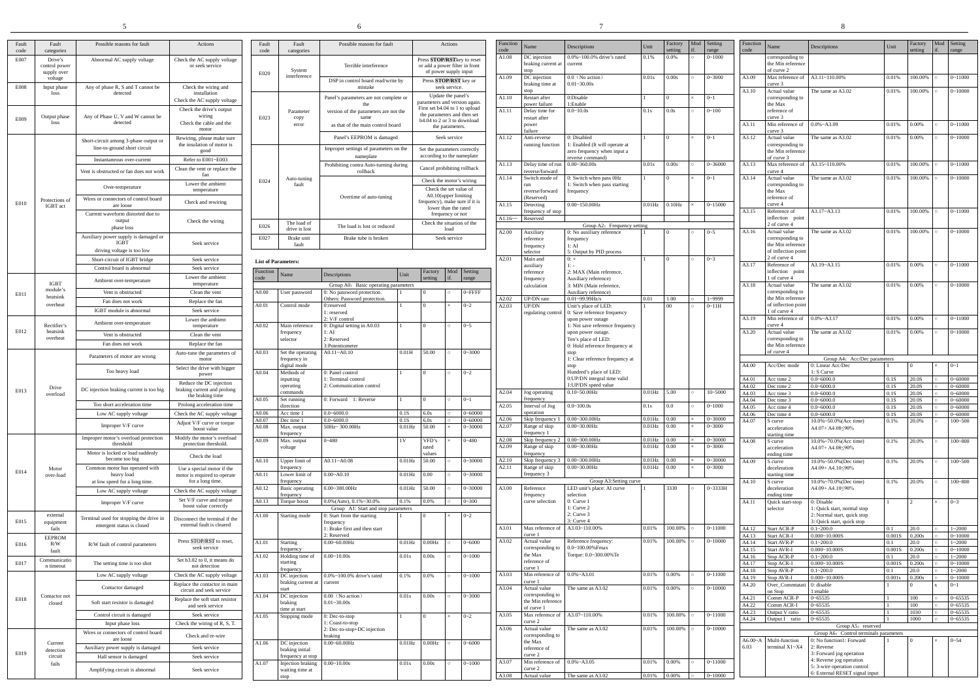|               |                                     |                                                                       |                                                                      |                            |                                                   | 6                                                                  |                        |                                                              |                                                                                                |                            |                  |                                                       |                                                                              |                        |                      |         |                           |                         |                                                       |                                                            |
|---------------|-------------------------------------|-----------------------------------------------------------------------|----------------------------------------------------------------------|----------------------------|---------------------------------------------------|--------------------------------------------------------------------|------------------------|--------------------------------------------------------------|------------------------------------------------------------------------------------------------|----------------------------|------------------|-------------------------------------------------------|------------------------------------------------------------------------------|------------------------|----------------------|---------|---------------------------|-------------------------|-------------------------------------------------------|------------------------------------------------------------|
| Fault<br>code | Fault<br>categories                 | Possible reasons for fault                                            | Actions                                                              | Fault<br>code              | Fault<br>categories                               | Possible reasons for fault                                         |                        |                                                              | Actions                                                                                        |                            | Function<br>code | Name                                                  | Descriptions                                                                 | Unit                   | Factory<br>setting   | Mod     | Setting<br>range          | Function<br>code        | Name                                                  | Descriptions                                               |
| E007          | Drive's<br>control power            | Abnormal AC supply voltage                                            | Check the AC supply voltage<br>or seek service                       |                            |                                                   | Terrible interference                                              |                        | Press STOP/RSTkey to reset<br>or add a power filter in front |                                                                                                |                            | A1.08            | DC injection<br>braking current at                    | $0.0\% \sim 100.0\%$ drive's rated<br>current                                | 0.1%                   | 0.0%                 |         | $0 - 1000$                |                         | corresponding to<br>the Min reference                 |                                                            |
|               | supply over<br>voltage              |                                                                       |                                                                      | E020                       | System<br>interference                            | DSP in control board read/write by                                 |                        | of power supply input<br>Press STOP/RST key or               |                                                                                                |                            | A1.09            | stop<br>DC injection<br>braking time at               | $0.0$ (No action)<br>$0.01 - 30.00s$                                         | 0.01s                  | 0.00s                |         | $0 - 3000$                | A3.09                   | of curve 2<br>Max reference of<br>curve 3             | A3.11~110.00%                                              |
| <b>E008</b>   | Input phase<br>loss                 | Any of phase R, S and T cannot be<br>detected                         | Check the wiring and<br>installation                                 |                            |                                                   | mistake<br>Panel's parameters are not complete or                  |                        |                                                              | seek service.<br>Update the panel's                                                            |                            | A1.10            | stop<br>Restart after                                 | 0:Disable                                                                    |                        |                      |         | $0 - 1$                   | A3.10                   | Actual value<br>corresponding to                      | The same as A3                                             |
|               |                                     | Any of Phase U, V and W cannot be                                     | Check the AC supply voltage<br>Check the drive's output<br>wiring    |                            | Parameter                                         | version of the parameters are not the                              |                        |                                                              | parameters and version again.<br>First set b4.04 to 1 to upload<br>the parameters and then set |                            | A1.11            | power failure<br>Delay time for                       | 1:Enable<br>$0.0 - 10.0s$                                                    | 0.1s                   | 0.0s                 |         | $0 - 100$                 |                         | the Max<br>reference of                               |                                                            |
| E009          | Output phase<br>loss                | detected                                                              | Check the cable and the<br>motor                                     | E023                       | copy<br>error                                     | as that of the main control board                                  |                        | b4.04 to 2 or 3 to download                                  | the parameters.                                                                                |                            |                  | restart after<br>power<br>failure                     |                                                                              |                        |                      |         |                           | A3.11                   | curve 3<br>Min reference of<br>curve 3                | $0.0\%$ ~A3.09                                             |
|               |                                     | Short-circuit among 3-phase output or<br>line-to-ground short circuit | Rewiring, please make sure<br>the insulation of motor is             |                            |                                                   | Panel's EEPROM is damaged                                          |                        |                                                              | Seek service                                                                                   |                            | A1.12            | Anti-reverse<br>running function                      | 0: Disabled<br>: Enabled (It will operate at                                 |                        |                      |         | $0 - 1$                   | A3.12                   | Actual value<br>corresponding to                      | The same as A3                                             |
|               |                                     | Instantaneous over-current                                            | good<br>Refer to E001~E003                                           |                            |                                                   | Improper settings of parameters on the<br>nameplate                |                        | Set the parameters correctly<br>according to the nameplate   |                                                                                                |                            | A1.13            |                                                       | zero frequency when input a<br>reverse command)<br>$0.00 - 360.00s$          | 0.01s                  | 0.00s                |         | $0 - 36000$               | A3.13                   | the Min reference<br>of curve 3<br>Max reference of   | A3.15~110.00%                                              |
|               |                                     | Vent is obstructed or fan does not work                               | Clean the vent or replace the<br>fan                                 |                            | Auto-tuning                                       | Prohibiting contra Auto-turning during<br>rollback                 |                        | Cancel prohibiting rollback<br>Check the motor's wiring      |                                                                                                |                            | A1.14            | Delay time of ru<br>reverse/forward<br>Switch mode of | 0: Switch when pass 0Hz                                                      |                        | $\Omega$             |         | $0 - 1$                   | A3.14                   | curve 4<br>Actual value                               | The same as A3                                             |
|               |                                     | Over-temperature                                                      | Lower the ambient<br>temperature                                     | E024                       | fault                                             |                                                                    |                        | Check the set value of<br>A0.10(upper limiting               |                                                                                                |                            |                  | run<br>reverse/forward                                | 1: Switch when pass starting<br>frequency                                    |                        |                      |         |                           |                         | corresponding to<br>the Max                           |                                                            |
| E010          | Protections of<br>IGBT act          | Wires or connectors of control board<br>are loose                     | Check and rewiring                                                   |                            |                                                   | Overtime of auto-tuning                                            |                        | frequency), make sure if it is                               | lower than the rated                                                                           |                            | A1.15            | (Reserved)<br>Detecting<br>frequency of stop          | $0.00 - 150.00$ Hz                                                           | $0.01$ Hz              | $0.10\text{Hz}$      |         | $0 - 15000$               | A3.15                   | reference of<br>curve 4<br>Reference of               | $A3.17 - A3.13$                                            |
|               |                                     | Current waveform distorted due to<br>output<br>phase loss             | Check the wiring                                                     | E026                       | The load of<br>drive is lost                      | The load is lost or reduced                                        |                        | Check the situation of the                                   | frequency or not<br>load                                                                       |                            | $A1.16 -$        | Reserved                                              | Group A2: Frequency setting                                                  |                        |                      |         |                           |                         | inflection point<br>2 of curve 4                      |                                                            |
|               |                                     | Auxiliary power supply is damaged or<br>IGBT                          | Seek service                                                         | E027                       | Brake unit<br>fault                               | Brake tube is broken                                               |                        |                                                              | Seek service                                                                                   |                            | A2.00            | Auxiliary<br>reference<br>frequency                   | 0: No auxiliary reference<br>frequency<br>1:AI                               |                        |                      |         | $0 - 5$                   | A3.16                   | Actual value<br>corresponding to<br>the Min reference | The same as A3                                             |
|               |                                     | driving voltage is too low<br>Short-circuit of IGBT bridge            | Seek service                                                         | <b>List of Parameters:</b> |                                                   |                                                                    |                        |                                                              |                                                                                                |                            | A2.01            | selector<br>Main and                                  | 5: Output by PID process<br>$0: +$                                           |                        | $\Omega$             | $\circ$ | $0 - 3$                   |                         | of inflection point<br>2 of curve 4                   |                                                            |
|               |                                     | Control board is abnormal                                             | Seek service<br>Lower the ambient                                    | Function<br>code           | Name                                              | Descriptions                                                       | Unit                   | Factory<br>etting                                            | Mod                                                                                            | Setting<br>range           |                  | auxiliary<br>reference                                | 2: MAX (Main reference,                                                      |                        |                      |         |                           | A3.17                   | Reference of<br>inflection point<br>1 of curve 4      | $A3.19 - A3.15$                                            |
| E011          | <b>IGBT</b><br>module's             | Ambient over-temperature<br>Vent is obstructed                        | temperature<br>Clean the vent                                        | A0.00                      | User password                                     | Group A0: Basic operating parameters<br>0: No password protection. |                        |                                                              |                                                                                                | 0~FFFF                     |                  | frequency<br>calculation                              | Auxiliary reference)<br>3: MIN (Main reference,<br>Auxiliary reference)      |                        |                      |         |                           | A3.18                   | Actual value<br>corresponding to                      | The same as A3                                             |
|               | heatsink<br>overheat                | Fan does not work                                                     | Replace the fan                                                      | A0.01                      | Control mode                                      | Others: Password protection.<br>0:reserved                         |                        |                                                              |                                                                                                | $0 - 2$                    | A2.02<br>A2.03   | UP/DN rate<br>UP/DN                                   | $0.01 - 99.99$ Hz/s<br>Unit's place of LED:                                  | 0.01                   | 1.00<br>$00\,$       |         | $1 - 9999$<br>$0 - 11H$   |                         | the Min reference<br>of inflection point              |                                                            |
|               |                                     | <b>IGBT</b> module is abnormal<br>Ambient over-temperature            | Seek service<br>Lower the ambient                                    |                            |                                                   | 1: reserved<br>2: V/F control                                      |                        |                                                              |                                                                                                |                            |                  | regulating contro                                     | 0: Save reference frequency<br>upon power outage                             |                        |                      |         |                           | A3.19                   | 1 of curve 4<br>Min reference of                      | $0.0\%$ ~A3.17                                             |
| E012          | Rectifier's<br>heatsink<br>overheat | Vent is obstructed                                                    | temperature<br>Clean the vent                                        | A0.02                      | Main reference<br>frequency<br>selector           | 0: Digital setting in A0.03<br>1:AI<br>2: Reserved                 |                        |                                                              | $\circ$                                                                                        | $0 - 5$                    |                  |                                                       | 1: Not save reference frequency<br>upon power outage.<br>Ten's place of LED: |                        |                      |         |                           | A3.20                   | curve 4<br>Actual value<br>corresponding to           | The same as A3                                             |
|               |                                     | Fan does not work                                                     | Replace the fan                                                      |                            |                                                   | 3:Potentiometer                                                    |                        |                                                              |                                                                                                |                            |                  |                                                       | 0: Hold reference frequency at                                               |                        |                      |         |                           |                         | the Min reference<br>of curve 4                       |                                                            |
|               |                                     | Parameters of motor are wrong                                         | Auto-tune the parameters of<br>motor<br>Select the drive with bigger | A0.03                      | Set the operating<br>frequency in<br>digital mode | $A0.11 - A0.10$                                                    | 0.01H                  | 50.00                                                        |                                                                                                | $0 - 3000$                 |                  |                                                       | 1: Clear reference frequency at                                              |                        |                      |         |                           | A4.00                   | Acc/Dec mode                                          | Group A4<br>0: Linear Acc/L                                |
|               |                                     | Too heavy load                                                        | power<br>Reduce the DC injection                                     | A0.04                      | Methods of<br>inputting                           | 0: Panel control<br>1: Terminal control                            |                        |                                                              | $\circ$                                                                                        | $0 - 2$                    |                  |                                                       | Hundred's place of LED:<br>0: UP/DN integral time valid                      |                        |                      |         |                           | A4.01                   | Acc time 2                                            | 1: S Curve<br>$0.0 - 6000.0$                               |
| E013          | Drive<br>overload                   | DC injection braking current is too big                               | braking current and prolong<br>the braking time.                     | A0.05                      | operating<br>commands<br>Set running              | 2: Communication control<br>0: Forward 1: Reverse                  |                        |                                                              |                                                                                                | $0 - 1$                    | A2.04            | Jog operating<br>frequency                            | 1:UP/DN speed value<br>$0.10 - 50.00$ Hz                                     | $0.01$ Hz $5.00$       |                      |         | $10 - 5000$               | A4.02<br>A4.03<br>A4.04 | Dec time 2<br>Acc time 3<br>Dec time 3                | $0.0 - 6000.0$<br>$0.0 - 6000.0$<br>$0.0 - 6000.0$         |
|               |                                     | Too short acceleration time<br>Low AC supply voltage                  | Prolong acceleration time<br>Check the AC supply voltage             | A0.06                      | direction<br>Acc time 1                           | $0.0 - 6000.0$                                                     | 0.1S                   | 6.0s                                                         |                                                                                                | $0 - 60000$                | A2.05            | Interval of Jog<br>operation                          | $0.0 - 100.0s$                                                               | 0.1s                   | 0.0 <sub>1</sub>     |         | $0 - 1000$                | A4.05<br>A4.06          | Acc time 4<br>Dec time 4                              | $0.0 - 6000.0$<br>$0.0 - 6000.0$                           |
|               |                                     | Improper V/F curve                                                    | Adjust V/F curve or torque                                           | A0.07                      | Dec time 1                                        | $0.0 - 6000.0$<br>50Hz~ 300.00Hz                                   | 0.1S                   | 6.0s<br>50.00                                                |                                                                                                | $0 - 60000$<br>$0 - 30000$ | A2.06<br>A2.07   | Skip frequency<br>Range of skip                       | $0.00 - 300.00$ Hz<br>$0.00 - 30.00$ Hz                                      | $0.01$ Hz<br>$0.01$ Hz | 0.00<br>0.00         |         | $0 - 30000$<br>$0 - 3000$ | A4.07                   | S curve                                               | $10.0\% \sim 50.0\%$ (                                     |
|               |                                     | Improper motor's overload protection                                  | boost value<br>Modify the motor's overload                           | A0.08<br>A0.09             | Max. output<br>frequency<br>Max. output           | $0 - 480$                                                          | $0.01$ Hz<br>1V        | VFD's                                                        |                                                                                                | $0 - 480$                  | A2.08            | frequency 1<br>Skip frequency                         | $0.00 - 300.00$ Hz                                                           | $0.01$ Hz              | 0.00                 |         | $0 - 30000$               | A4.08                   | acceleration<br>starting time<br>S curve              | $A4.07 + A4.08 \leq$<br>$10.0\% \sim 70.0\%$ (             |
|               |                                     | threshold<br>Motor is locked or load suddenly<br>become too big       | protection threshold.<br>Check the load                              |                            | voltage                                           |                                                                    |                        | rated<br>values                                              |                                                                                                |                            | A2.09            | Range of skip<br>frequency                            | $0.00 - 30.00$ Hz                                                            | $0.01$ Hz              | $0.00\,$             |         | $0 - 3000$                |                         | acceleration<br>ending time                           | A4.07+ A4.08                                               |
| E014          | Motor<br>over-load                  | Common motor has operated with<br>heavy load                          | Use a special motor if the<br>motor is required to operate           | A0.10<br>A0.11             | Upper limit of<br>frequency<br>Lower limit of     | $A0.11 - A0.08$<br>$0.00 - A0.10$                                  | $0.01$ Hz<br>$0.01$ Hz | 50.00<br>0.00                                                |                                                                                                | $0 - 30000$<br>$0 - 30000$ | A2.10<br>A2.11   | Skip frequency 3<br>Range of skip<br>frequency 3      | $0.00 - 300.00$ Hz<br>$0.00 - 30.00$ Hz                                      | $0.01$ Hz<br>$0.01$ Hz | $0.00\,$<br>$0.00\,$ |         | $0 - 30000$<br>$0 - 3000$ | A4.09                   | S curve<br>deceleration<br>starting time              | $10.0\% \sim 50.0\%$ (1<br>A4.09+ A4.10                    |
|               |                                     | at low speed for a long time.                                         | for a long time.                                                     | A0.12                      | frequency<br><b>Basic</b> operating               | $0.00 - 300.00$ Hz                                                 | $0.01$ Hz              | 50.00                                                        |                                                                                                | $0 - 30000$                | A3.00            | Reference                                             | Group A3:Setting curve<br>LED unit's place: AI curve                         |                        | 3330                 |         | 0~3333H                   | A4.10                   | S curve<br>deceleration                               | $10.0\% \sim 70.0\%$ (1<br>A4.09+ A4.10                    |
|               |                                     | Low AC supply voltage<br>Improper V/F curve                           | Check the AC supply voltage<br>Set V/F curve and torque              | A0.13                      | frequency<br>Torque boost                         | $0.0\%$ (Auto), $0.1\%$ ~30.0%                                     | 0.1%                   | 0.0%                                                         | $\circ$                                                                                        | $0 - 300$                  |                  | frequency<br>curve selection                          | selection<br>$0:$ Curve $1$                                                  |                        |                      |         |                           | A4.11                   | ending time<br>Quick start-stop                       | 0: Disable                                                 |
| E015          | external                            | Terminal used for stopping the drive in                               | boost value correctly<br>Disconnect the terminal if the              | A1.00                      | Starting mode                                     | Group A1: Start and stop parameters<br>0: Start from the starting  |                        |                                                              |                                                                                                | $0 - 2$                    |                  |                                                       | 1: Curve 2<br>2: Curve 3<br>3: Curve 4                                       |                        |                      |         |                           |                         | selector                                              | 1: Quick start, I<br>2: Normal start,<br>3: Quick start, o |
|               | equipment<br>fails<br><b>EEPROM</b> | emergent status is closed                                             | external fault is cleared                                            |                            |                                                   | frequency<br>1: Brake first and then start<br>2: Reserved          |                        |                                                              |                                                                                                |                            | A3.01            | Max reference of<br>curve 1                           | A3.03~110.00%                                                                | 0.01%                  | 100.00%              |         | $0 - 11000$               | A4.12<br>A4.13          | <b>Start ACR-P</b><br>Start ACR-I                     | $0.1 - 200.0$<br>$0.000 - 10.000S$                         |
| E016          | R/W<br>fault                        | R/W fault of control parameters                                       | Press STOP/RST to reset,<br>seek service                             | A1.01                      | Starting<br>frequency                             | $0.00 - 60.00$ Hz                                                  | $0.01$ Hz              | $0.00 \text{Hz}$                                             |                                                                                                | $0 - 6000$                 | A3.02            | Actual value<br>corresponding to<br>the Max           | Reference frequency:<br>$0.0 - 100.00\%$ Fmax<br>Torque: 0.0~300.00% Te      | 0.01%                  | 100.00%              |         | $0 - 10000$               | A4.14<br>A4.15          | Start AVR-P<br>Start AVR-I                            | $0.1 - 200.0$<br>$0.000 - 10.000S$                         |
| E017          | Communicatio<br>n timeout           | The setting time is too shot                                          | Set b3.02 to 0, it means do<br>not detection                         | A1.02                      | Holding time of<br>starting<br>frequency          | $0.00 - 10.00s$                                                    | 0.01s                  | 0.00s                                                        |                                                                                                | $0 - 1000$                 |                  | reference of<br>curve 1                               |                                                                              |                        |                      |         |                           | A4.16<br>A4.17<br>A4.18 | Stop ACR-P<br>Stop ACR-I<br>Stop AVR-P                | $0.1 - 200.0$<br>$0.000 - 10.000S$<br>$0.1 - 200.0$        |
|               |                                     | Low AC supply voltage<br>Contactor damaged                            | Check the AC supply voltage<br>Replace the contactor in main         | A1.03                      | DC injection<br>braking current at                | $0.0\% \sim 100.0\%$ drive's rated<br>current                      | 0.1%                   | 0.0%                                                         |                                                                                                | $0 - 1000$                 | A3.03            | Min reference of<br>curve 1                           | $0.0\%$ ~A3.01                                                               | 0.01%                  | 0.00%                |         | $0 - 11000$               | A4.19<br>A4.20          | Stop AVR-I<br>Over_Commtatat                          | $0.000 - 10.000S$<br>0: disable                            |
| E018          | Contactor not<br>closed             | Soft start resistor is damaged                                        | circuit and seek service<br>Replace the soft start resistor          | A1.04                      | start<br>DC injection<br>braking                  | 0.00 (No action)<br>$0.01 - 30.00s$                                | 0.01s                  | 0.00s                                                        |                                                                                                | $0 - 3000$                 | A3.04            | Actual value<br>corresponding to<br>the Min reference | The same as A3.02                                                            | 0.01%                  | 0.00%                |         | $0 - 10000$               | A4.21                   | on Stop<br>Comm ACR-P                                 | 1:enable<br>$0 - 65535$                                    |
|               |                                     | Control circuit is damaged                                            | and seek service<br>Seek service                                     | A1.05                      | ime at start<br>Stopping mode                     | $0:$ Dec-to-stop                                                   |                        | $\Omega$                                                     |                                                                                                | $0 - 2$                    | A3.05            | of curve 1<br>Max reference of                        | A3.07~110.00%                                                                | 0.01%                  | 100.00%              |         | $0 - 11000$               | A4.22<br>A4.23<br>A4.24 | Comm ACR-I<br>Output V ratio<br>Output I ratio        | $0 - 65535$<br>$0 - 65535$<br>$0 - 65535$                  |
|               |                                     | Input phase loss                                                      | Check the wiring of R, S, T.                                         |                            |                                                   | : Coast-to-stop<br>2: Dec-to-stop+DC injection                     |                        |                                                              |                                                                                                |                            | A3.06            | curve 2<br>Actual value                               | The same as A3.02                                                            | 0.01%                  | 100.00%              |         | $0 - 10000$               |                         |                                                       | Gro                                                        |
|               | Current                             | Wires or connectors of control board<br>are loose                     | Check and re-wire                                                    | A1.06                      | DC injection                                      | braking<br>$0.00 - 60.00$ Hz                                       | $0.01$ Hz              | 0.00 Hz                                                      |                                                                                                | $0 - 6000$                 |                  | corresponding to<br>the Max                           |                                                                              |                        |                      |         |                           | $A6.00 - A$             | Multi-function                                        | Group A6: C<br>0: No function1                             |
| E019          | detection<br>circuit                | Auxiliary power supply is damaged<br>Hall sensor is damaged           | Seek service<br>Seek service                                         |                            | braking initial<br>frequency at stop              |                                                                    |                        |                                                              |                                                                                                |                            |                  | reference of<br>curve 2                               |                                                                              |                        |                      |         |                           | 6.03                    | terminal X1~X4                                        | 2: Reverse<br>3: Forward jog                               |
|               | fails                               | Amplifying circuit is abnormal                                        | Seek service                                                         | A1.07                      | Injection braking<br>waiting time at              | $0.00 - 10.00s$                                                    | 0.01s                  | 0.00s                                                        |                                                                                                | $0 - 1000$                 | A3.07            | Min reference of<br>curve 2                           | $0.0\% \sim A3.05$                                                           | 0.01%                  | 0.00%                |         | $0 - 11000$               |                         |                                                       | 4: Reverse jog<br>5: 3-wire operators 5: 5: 5              |

| Fault<br>code    | Fault<br>categories                                  | Possible reasons for fault                                                              |                   |                                                                                                                                      | Actions             |                            |  |  |  |  |
|------------------|------------------------------------------------------|-----------------------------------------------------------------------------------------|-------------------|--------------------------------------------------------------------------------------------------------------------------------------|---------------------|----------------------------|--|--|--|--|
|                  | System                                               | Terrible interference                                                                   |                   | Press STOP/RSTkey to reset<br>or add a power filter in front<br>of power supply input                                                |                     |                            |  |  |  |  |
| E020             | interference                                         | DSP in control board read/write by<br>mistake                                           |                   | Press STOP/RST key or                                                                                                                | seek service.       |                            |  |  |  |  |
|                  |                                                      | Panel's parameters are not complete or<br>the                                           |                   | Update the panel's<br>parameters and version again.                                                                                  |                     |                            |  |  |  |  |
|                  | Parameter                                            | version of the parameters are not the                                                   |                   | First set b4.04 to 1 to upload<br>the parameters and then set                                                                        |                     |                            |  |  |  |  |
| E023             | copy<br>error                                        | same<br>as that of the main control board                                               |                   | b4.04 to 2 or 3 to download                                                                                                          | the parameters.     |                            |  |  |  |  |
|                  |                                                      | Panel's EEPROM is damaged                                                               |                   |                                                                                                                                      | Seek service        |                            |  |  |  |  |
|                  |                                                      | Improper settings of parameters on the<br>nameplate                                     |                   | Set the parameters correctly<br>according to the nameplate                                                                           |                     |                            |  |  |  |  |
|                  |                                                      | Prohibiting contra Auto-turning during<br>rollback                                      |                   | Cancel prohibiting rollback                                                                                                          |                     |                            |  |  |  |  |
| E024             | Auto-tuning<br>fault                                 | Overtime of auto-tuning                                                                 |                   | Check the motor's wiring<br>Check the set value of<br>A0.10(upper limiting<br>frequency), make sure if it is<br>lower than the rated | frequency or not    |                            |  |  |  |  |
| E026             | The load of<br>drive is lost                         | The load is lost or reduced                                                             |                   | Check the situation of the                                                                                                           | load                |                            |  |  |  |  |
| E027             | Brake unit<br>fault                                  | Brake tube is broken                                                                    |                   |                                                                                                                                      | Seek service        |                            |  |  |  |  |
|                  | <b>List of Parameters:</b>                           |                                                                                         |                   |                                                                                                                                      |                     |                            |  |  |  |  |
| Function<br>code | Name                                                 | Descriptions                                                                            | Unit              | Factory<br>setting                                                                                                                   | Mod<br>if.          | Setting<br>range           |  |  |  |  |
| A0.00            | User password                                        | Group A0: Basic operating parameters<br>0: No password protection.                      | 1                 | $\mathbf{0}$                                                                                                                         | $\circ$             | $0$ ~FFFF                  |  |  |  |  |
|                  |                                                      | Others: Password protection.                                                            |                   |                                                                                                                                      |                     |                            |  |  |  |  |
| A0.01            | Control mode                                         | 0:reserved<br>1: reserved<br>2: V/F control                                             | $\mathbf{1}$      | 0                                                                                                                                    | $\times$            | $0 - 2$                    |  |  |  |  |
| A0.02            | Main reference<br>frequency<br>selector              | 0: Digital setting in A0.03<br>1:AI<br>2: Reserved                                      | 1                 | 0                                                                                                                                    | $\circ$             | $0 - 5$                    |  |  |  |  |
| A0.03            | Set the operating                                    | 3:Potentiometer<br>$A0.11 - A0.10$                                                      | 0.01H             | 50.00                                                                                                                                | $\circ$             | $0 - 3000$                 |  |  |  |  |
|                  | frequency in<br>digital mode                         |                                                                                         |                   |                                                                                                                                      |                     |                            |  |  |  |  |
| A0.04            | Methods of<br>inputting<br>operating<br>commands     | 0: Panel control<br>1: Terminal control<br>2: Communication control                     | 1                 | $\boldsymbol{0}$                                                                                                                     | $\circ$             | $0 - 2$                    |  |  |  |  |
| A0.05            | Set running                                          | 0: Forward 1: Reverse                                                                   | $\mathbf{1}$      | $\mathbf{0}$                                                                                                                         | $\circ$             | $0 - 1$                    |  |  |  |  |
| A0.06            | direction<br>Acc time 1                              | $0.0 - 6000.0$                                                                          | 0.1S              | 6.0s                                                                                                                                 | $\circ$             | $0 - 60000$                |  |  |  |  |
| A0.07<br>A0.08   | Dec time 1<br>Max. output                            | $0.0 - 6000.0$<br>50Hz~ 300.00Hz                                                        | 0.1S<br>$0.01$ Hz | 6.0s<br>50.00                                                                                                                        | $\circ$<br>$\times$ | $0 - 60000$<br>$0 - 30000$ |  |  |  |  |
|                  | frequency                                            |                                                                                         |                   |                                                                                                                                      |                     |                            |  |  |  |  |
| A0.09            | Max. output<br>voltage                               | $0 - 480$                                                                               | 1V                | VFD's<br>rated<br>values                                                                                                             | $\times$            | $0 - 480$                  |  |  |  |  |
| A0.10            | Upper limit of<br>frequency                          | $A0.11 - A0.08$                                                                         | $0.01$ Hz         | 50.00                                                                                                                                | $\circ$             | $0 - 30000$                |  |  |  |  |
| A0.11            | Lower limit of<br>frequency                          | $0.00 - A0.10$                                                                          | $0.01$ Hz         | 0.00                                                                                                                                 | $\circ$             | $0 - 30000$                |  |  |  |  |
| A0.12            | <b>Basic</b> operating<br>frequency                  | $0.00 - 300.00$ Hz                                                                      | $0.01$ Hz         | 50.00                                                                                                                                | $\circ$             | $0 - 30000$                |  |  |  |  |
| A0.13            | Torque boost                                         | $0.0\%$ (Auto), $0.1\%$ ~30.0%<br>Group A1: Start and stop parameters                   | 0.1%              | 0.0%                                                                                                                                 | $\circ$             | $0 - 300$                  |  |  |  |  |
| A1.00            | Starting mode                                        | 0: Start from the starting<br>frequency<br>1: Brake first and then start<br>2: Reserved | 1                 | $\boldsymbol{0}$                                                                                                                     | $\times$            | $0 - 2$                    |  |  |  |  |
| A1.01            | Starting                                             | $0.00 - 60.00$ Hz                                                                       | $0.01$ Hz         | $0.00$ Hz                                                                                                                            | $\circ$             | $0 - 6000$                 |  |  |  |  |
| A1.02            | frequency<br>Holding time of<br>starting             | $0.00 - 10.00s$                                                                         | 0.01s             | 0.00s                                                                                                                                | $\circ$             | $0 - 1000$                 |  |  |  |  |
| A1.03            | frequency<br>DC injection<br>braking current at      | 0.0%~100.0% drive's rated<br>current                                                    | 0.1%              | 0.0%                                                                                                                                 | $\circ$             | $0 - 1000$                 |  |  |  |  |
| A1.04            | start<br>DC injection                                | $0.00$ (No action)                                                                      | 0.01s             | 0.00s                                                                                                                                | $\circ$             | $0 - 3000$                 |  |  |  |  |
|                  | braking<br>time at start                             | $0.01 - 30.00s$                                                                         |                   |                                                                                                                                      |                     |                            |  |  |  |  |
| A1.05            | Stopping mode                                        | $0:$ Dec-to-stop<br>1: Coast-to-stop<br>2: Dec-to-stop+DC injection<br>braking          | $\mathbf{1}$      | $\mathbf{0}$                                                                                                                         | $\times$            | $0 - 2$                    |  |  |  |  |
| A1.06            | DC injection<br>braking initial<br>frequency at stop | $0.00 - 60.00$ Hz                                                                       | $0.01$ Hz         | $0.00$ Hz                                                                                                                            | $\circ$             | $0 - 6000$                 |  |  |  |  |
| A1.07            | Injection braking<br>waiting time at<br>stop         | $0.00 - 10.00s$                                                                         | 0.01s             | 0.00s                                                                                                                                | $\circ$             | $0 - 1000$                 |  |  |  |  |

| Function |                                         |                                                                                   |              | Factory        | Mod      | Setting     | Function       |                                                          |                                                                          |               | Factory        | Mod                | Setting                    |
|----------|-----------------------------------------|-----------------------------------------------------------------------------------|--------------|----------------|----------|-------------|----------------|----------------------------------------------------------|--------------------------------------------------------------------------|---------------|----------------|--------------------|----------------------------|
| code     | Name                                    | Descriptions                                                                      | Unit         | setting        | if.      | range       | code           | Name                                                     | Descriptions                                                             | Unit          | setting        | if.                | range                      |
| A1.08    | DC injection<br>braking current at      | $0.0\% \sim 100.0\%$ drive's rated<br>current                                     | 0.1%         | 0.0%           | $\circ$  | $0 - 1000$  |                | corresponding to<br>the Min reference<br>of curve 2      |                                                                          |               |                |                    |                            |
| A1.09    | stop<br>DC injection<br>braking time at | $0.0$ (No action)<br>$0.01 - 30.00s$                                              | 0.01s        | 0.00s          | $\circ$  | $0 - 3000$  | A3.09          | Max reference of<br>curve 3                              | A3.11~110.00%                                                            | 0.01%         | 100.00%        | $\circ$            | $0 - 11000$                |
| A1.10    | stop<br>Restart after                   | 0:Disable                                                                         |              | $\bf{0}$       | $\times$ | $0 - 1$     | A3.10          | Actual value<br>corresponding to                         | The same as A3.02                                                        | 0.01%         | 100.00%        | $\circ$            | $0 - 10000$                |
|          | power failure                           | 1:Enable                                                                          |              |                |          |             |                | the Max                                                  |                                                                          |               |                |                    |                            |
| A1.11    | Delay time for<br>restart after         | $0.0 - 10.0s$                                                                     | 0.1s         | 0.0s           | $\circ$  | $0 - 100$   |                | reference of<br>curve 3                                  |                                                                          |               |                |                    |                            |
|          | power                                   |                                                                                   |              |                |          |             | A3.11          | Min reference of                                         | $0.0\%$ ~A3.09                                                           | 0.01%         | 0.00%          | $\circ$            | $0 - 11000$                |
| A1.12    | failure<br>Anti-reverse                 | 0: Disabled                                                                       |              | $\mathbf{0}$   | $\times$ | $0 - 1$     | A3.12          | curve 3<br>Actual value                                  | The same as A3.02                                                        | 0.01%         | 0.00%          | $\circ$            | $0 - 10000$                |
|          | running function                        | 1: Enabled (It will operate at<br>zero frequency when input a<br>reverse command) |              |                |          |             |                | corresponding to<br>the Min reference<br>of curve 3      |                                                                          |               |                |                    |                            |
| A1.13    | Delay time of run                       | $0.00 - 360.00s$                                                                  | 0.01s        | 0.00s          | $\circ$  | $0 - 36000$ | A3.13          | Max reference of                                         | A3.15~110.00%                                                            | 0.01%         | 100.00%        | $\circ$            | $0 - 11000$                |
| A1.14    | reverse/forward<br>Switch mode of       | 0: Switch when pass 0Hz                                                           |              | $\overline{0}$ | $\times$ | $0 - 1$     | A3.14          | curve 4<br>Actual value                                  | The same as A3.02                                                        | 0.01%         | 100.00%        | $\circ$            | $0 - 10000$                |
|          | run<br>reverse/forward<br>(Reserved)    | 1: Switch when pass starting<br>frequency                                         |              |                |          |             |                | corresponding to<br>the Max<br>reference of              |                                                                          |               |                |                    |                            |
| A1.15    | Detecting<br>frequency of stop          | $0.00 - 150.00$ Hz                                                                | $0.01$ Hz    | $0.10$ Hz      | $\times$ | $0 - 15000$ | A3.15          | curve 4<br>Reference of                                  | $A3.17 - A3.13$                                                          | 0.01%         | 100.00%        | $\circ$            | $0 - 11000$                |
| $A1.16-$ | Reserved                                |                                                                                   |              |                |          |             |                | inflection point                                         |                                                                          |               |                |                    |                            |
|          |                                         | Group A2: Frequency setting                                                       |              |                |          |             | A3.16          | 2 of curve 4<br>Actual value                             | The same as A3.02                                                        | 0.01%         | 100.00%        | $\circ$            | $0 - 10000$                |
| A2.00    | Auxiliary<br>reference                  | 0: No auxiliary reference<br>frequency                                            |              | $\mathbf{0}$   | $\circ$  | $0 - 5$     |                | corresponding to                                         |                                                                          |               |                |                    |                            |
|          | frequency<br>selector                   | 1:AI<br>5: Output by PID process                                                  |              |                |          |             |                | the Min reference<br>of inflection point<br>2 of curve 4 |                                                                          |               |                |                    |                            |
| A2.01    | Main and<br>auxiliary                   | $0: +$<br>$1: -$                                                                  |              | $\Omega$       | $\circ$  | $0 - 3$     | A3.17          | Reference of                                             | A3.19~A3.15                                                              | 0.01%         | 0.00%          | $\circ$            | $0 - 11000$                |
|          | reference<br>frequency                  | 2: MAX (Main reference,<br>Auxiliary reference)                                   |              |                |          |             |                | inflection point<br>1 of curve 4                         |                                                                          |               |                |                    |                            |
|          | calculation                             | 3: MIN (Main reference,                                                           |              |                |          |             | A3.18          | Actual value                                             | The same as A3.02                                                        | 0.01%         | 0.00%          | $\circ$            | $0 - 10000$                |
| A2.02    | UP/DN rate                              | Auxiliary reference)<br>$0.01 - 99.99$ Hz/s                                       | 0.01         | 1.00           | $\circ$  | $1 - 9999$  |                | corresponding to<br>the Min reference                    |                                                                          |               |                |                    |                            |
| A2.03    | UP/DN                                   | Unit's place of LED:                                                              |              | 00             | $\circ$  | $0 - 11H$   |                | of inflection point                                      |                                                                          |               |                |                    |                            |
|          | regulating control                      | 0: Save reference frequency<br>upon power outage                                  |              |                |          |             | A3.19          | 1 of curve 4<br>Min reference of                         | $0.0\%$ ~A3.17                                                           | 0.01%         | 0.00%          | $\circ$            | $0 - 11000$                |
|          |                                         | 1: Not save reference frequency                                                   |              |                |          |             |                | curve 4                                                  |                                                                          |               |                |                    |                            |
|          |                                         | upon power outage.<br>Ten's place of LED:<br>0: Hold reference frequency at       |              |                |          |             | A3.20          | Actual value<br>corresponding to<br>the Min reference    | The same as A3.02                                                        | 0.01%         | 0.00%          | $\circ$            | $0 - 10000$                |
|          |                                         | stop<br>1: Clear reference frequency at                                           |              |                |          |             |                | of curve 4                                               |                                                                          |               |                |                    |                            |
|          |                                         |                                                                                   |              |                |          |             |                |                                                          |                                                                          |               |                |                    |                            |
|          |                                         | stop                                                                              |              |                |          |             | A4.00          | Acc/Dec mode                                             | Group A4: Acc/Dec parameters<br>0: Linear Acc/Dec                        | $\mathbf{1}$  | $\mathbf{0}$   | $\times$           | $0 - 1$                    |
|          |                                         | Hundred's place of LED:                                                           |              |                |          |             |                |                                                          | 1: S Curve                                                               |               |                |                    |                            |
|          |                                         | 0: UP/DN integral time valid<br>1:UP/DN speed value                               |              |                |          |             | A4.01          | Acc time 2                                               | $0.0 - 6000.0$                                                           | 0.1S          | 20.0S          | $\circ$            | $0 - 60000$                |
| A2.04    | Jog operating                           | $0.10 - 50.00$ Hz                                                                 | $0.01$ Hz    | 5.00           | $\circ$  | $10 - 5000$ | A4.02<br>A4.03 | Dec time 2<br>Acc time 3                                 | $0.0 - 6000.0$<br>$0.0 - 6000.0$                                         | 0.1S<br>0.1S  | 20.0S<br>20.0S | $\circ$<br>$\circ$ | $0 - 60000$<br>$0 - 60000$ |
|          | frequency                               |                                                                                   |              |                | $\circ$  |             | A4.04          | Dec time 3                                               | $0.0 - 6000.0$                                                           | 0.1S          | 20.0S          | $\circ$            | $0 - 60000$                |
| A2.05    | Interval of Jog<br>operation            | $0.0 - 100.0s$                                                                    | 0.1s         | $0.0\,$        |          | $0 - 1000$  | A4.05          | Acc time 4                                               | $0.0\neg 6000.0$                                                         | 0.1S          | 20.0S          | $\circ$            | $0\nightharpoonup 60000$   |
| A2.06    | Skip frequency 1                        | $0.00 - 300.00$ Hz                                                                | $0.01$ Hz    | 0.00           | $\times$ | $0 - 30000$ | A4.06<br>A4.07 | Dec time 4<br>S curve                                    | $0.0 - 6000.0$<br>10.0%~50.0%(Acc time)                                  | 0.1S<br>0.1%  | 20.0S<br>20.0% | $\circ$<br>$\circ$ | $0 - 60000$<br>$100 - 500$ |
| A2.07    | Range of skip<br>frequency 1            | $0.00 - 30.00$ Hz                                                                 | $0.01$ Hz    | 0.00           | $\times$ | $0 - 3000$  |                | acceleration<br>starting time                            | A4.07+ A4.08≤90%                                                         |               |                |                    |                            |
| A2.08    | Skip frequency 2                        | $0.00 - 300.00$ Hz                                                                | $0.01$ Hz    | 0.00           | $\times$ | $0 - 30000$ | A4.08          | S curve                                                  | 10.0%~70.0%(Acc time)                                                    | 0.1%          | 20.0%          | $\circ$            | $100 - 800$                |
| A2.09    | Range of skip<br>frequency              | $0.00 - 30.00$ Hz                                                                 | $0.01$ Hz    | 0.00           | $\times$ | $0 - 3000$  |                | acceleration<br>ending time                              | A4.07+ A4.08≤90%                                                         |               |                |                    |                            |
| A2.10    | Skip frequency 3                        | $0.00 - 300.00$ Hz                                                                | $0.01$ Hz    | 0.00           | $\times$ | $0 - 30000$ | A4.09          | S curve                                                  | 10.0%~50.0% (Dec time)                                                   | 0.1%          | 20.0%          | $\circ$            | $100 - 500$                |
| A2.11    | Range of skip<br>frequency 3            | $0.00 - 30.00$ Hz                                                                 | $0.01$ Hz    | 0.00           | $\times$ | $0 - 3000$  |                | deceleration<br>starting time                            | A4.09+ A4.10≤90%                                                         |               |                |                    |                            |
|          |                                         | Group A3:Setting curve                                                            | $\mathbf{1}$ |                | $\circ$  |             | A4.10          | S curve                                                  | 10.0%~70.0% (Dec time)                                                   | 0.1%          | 20.0%          | $\circ$            | $100 - 800$                |
| A3.00    | Reference<br>frequency                  | LED unit's place: AI curve<br>selection                                           |              | 3330           |          | $0 - 3333H$ |                | deceleration<br>ending time                              | A4.09+ A4.10 <90%                                                        |               |                |                    |                            |
|          | curve selection                         | 0: Curve1<br>1: Curve 2<br>2: Curve 3<br>3: Curve 4                               |              |                |          |             | A4.11          | Quick start-stop<br>selector                             | 0: Disable<br>1: Quick start, normal stop<br>2: Normal start, quick stop | $\mathbf{1}$  | $\overline{c}$ | $\times$           | $0 - 3$                    |
| A3.01    | Max reference of                        | A3.03~110.00%                                                                     | 0.01%        | 100.00%        | $\circ$  | $0 - 11000$ | A4.12          | <b>Start ACR-P</b>                                       | 3: Quick start, quick stop<br>$0.1 - 200.0$                              | 0.1           | 20.0           | $\circ$            | $1 - 2000$                 |
|          | curve 1                                 |                                                                                   |              |                |          |             | A4.13          | Start ACR-I                                              | $0.000 - 10.000S$                                                        | 0.001S        | 0.200s         | $\circ$            | $0 - 10000$                |
| A3.02    | Actual value<br>corresponding to        | Reference frequency:<br>$0.0 - 100.00\%$ Fmax                                     | 0.01%        | 100.00%        | $\circ$  | $0 - 10000$ | A4.14          | Start AVR-P                                              | $0.1 - 200.0$                                                            | 0.1           | 20.0           | $\circ$            | $1 - 2000$                 |
|          | the Max                                 | Torque: 0.0~300.00% Te                                                            |              |                |          |             | A4.15<br>A4.16 | Start AVR-I<br>Stop ACR-P                                | $0.000 - 10.000S$<br>$0.1 - 200.0$                                       | 0.001S<br>0.1 | 0.200s<br>20.0 | $\circ$<br>$\circ$ | $0 - 10000$<br>$1 - 2000$  |
|          | reference of<br>curve 1                 |                                                                                   |              |                |          |             | A4.17          | Stop ACR-I                                               | $0.000 - 10.000S$                                                        | 0.001S        | 0.200s         | $\circ$            | $0 - 10000$                |
| A3.03    | Min reference of                        | $0.0\%$ ~A3.01                                                                    | 0.01%        | 0.00%          | $\circ$  | $0 - 11000$ | A4.18<br>A4.19 | Stop AVR-P<br>Stop AVR-I                                 | $0.1 - 200.0$<br>$0.000 - 10.000S$                                       | 0.1<br>0.001s | 20.0<br>0.200s | $\circ$<br>$\circ$ | $1 - 2000$<br>$0 - 10000$  |
| A3.04    | curve 1                                 | The same as A3.02                                                                 | 0.01%        | 0.00%          | $\circ$  |             | A4.20          | Over_Commtatati                                          | 0: disable                                                               | 1             | $\mathbf{0}$   | $\mathbf x$        | $0 - 1$                    |
|          | Actual value<br>corresponding to        |                                                                                   |              |                |          | $0 - 10000$ |                | on Stop                                                  | 1:enable                                                                 |               |                | $\circ$            |                            |
|          | the Min reference                       |                                                                                   |              |                |          |             | A4.21<br>A4.22 | Comm ACR-P<br>Comm ACR-I                                 | $0 - 65535$<br>$0 - 65535$                                               |               | 100<br>100     | $\circ$            | $0 - 65535$<br>$0 - 65535$ |
| A3.05    | of curve 1<br>Max reference of          | A3.07~110.00%                                                                     | 0.01%        | 100.00%        | $\circ$  | $0 - 11000$ | A4.23          | Output V ratio                                           | $0 - 65535$                                                              |               | 1030           | $\circ$            | $0 - 65535$                |
|          | curve 2                                 |                                                                                   |              |                |          |             | A4.24          | Output I ratio                                           | $0 - 65535$<br>Group A5: reserved                                        |               | 1000           | $\circ$            | $0 - 65535$                |
| A3.06    | Actual value<br>corresponding to        | The same as A3.02                                                                 | 0.01%        | 100.00%        | $\circ$  | $0 - 10000$ |                |                                                          | Group A6: Control terminals parameters                                   |               |                |                    |                            |
|          | the Max                                 |                                                                                   |              |                |          |             | $A6.00 - A$    | Multi-function                                           | 0: No function1: Forward                                                 |               | $\mathbf{0}$   | $\times$           | $0 - 54$                   |
|          | reference of<br>curve 2                 |                                                                                   |              |                |          |             | 6.03           | terminal X1~X4                                           | 2: Reverse<br>3: Forward jog operation                                   |               |                |                    |                            |
| A3.07    | Min reference of<br>curve 2             | $0.0\%$ ~A3.05                                                                    | 0.01%        | 0.00%          | $\circ$  | $0 - 11000$ |                |                                                          | 4: Reverse jog operation<br>5: 3-wire operation control                  |               |                |                    |                            |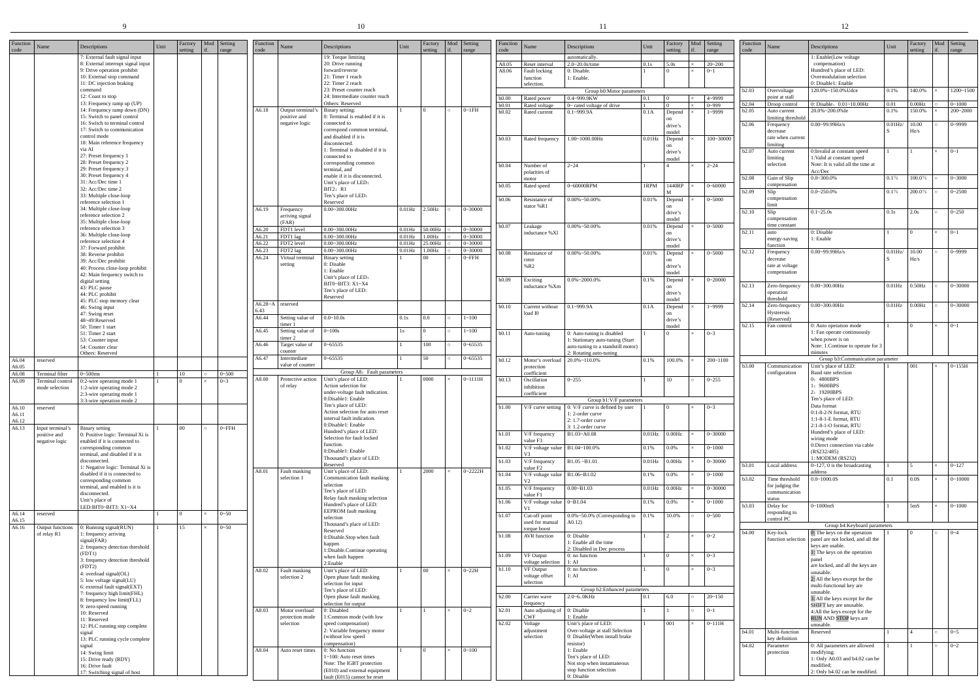|                  |                                 |                                                                                                                                                            |      |                    |     |                      |                  |                                   | 10                                                                                                    |                        |                    |    |                            |                  |                                                                | -11                                                                                  |                     |                    |                       |                  |                                   | 12                                                                                                                   |              |                   |            |                        |  |
|------------------|---------------------------------|------------------------------------------------------------------------------------------------------------------------------------------------------------|------|--------------------|-----|----------------------|------------------|-----------------------------------|-------------------------------------------------------------------------------------------------------|------------------------|--------------------|----|----------------------------|------------------|----------------------------------------------------------------|--------------------------------------------------------------------------------------|---------------------|--------------------|-----------------------|------------------|-----------------------------------|----------------------------------------------------------------------------------------------------------------------|--------------|-------------------|------------|------------------------|--|
| Function<br>code | Name                            | Descriptions                                                                                                                                               | Unit | Factory<br>setting | Mod | Setting<br>range     | Function<br>code | Name                              | Descriptions                                                                                          | Unit                   | Factory<br>setting | if | Mod Setting<br>range       | Function<br>code | Name                                                           | Descriptions                                                                         | Unit                | Factory<br>setting | Mod Setting<br>range  | Function<br>code | Name                              | Descriptions                                                                                                         | Unit         | actory<br>setting | Mod<br>if. | Setting<br>range       |  |
|                  |                                 | : External fault signal input<br>: External interrupt signal input<br>9: Drive operation prohibit<br>10: External stop command<br>11: DC injection braking |      |                    |     |                      |                  |                                   | 19: Torque limiting<br>20: Drive running<br>forward/reverse<br>21: Timer 1 reach<br>22: Timer 2 reach |                        |                    |    |                            | A8.05<br>A8.06   | Reset interval<br>Fault locking<br>function<br>selection.      | automatically<br>$2.0 - 20.0$ s/time<br>0: Disable.<br>1: Enable.                    | 0.1s                | 5.0s               | $20 - 200$<br>$0 - 1$ |                  |                                   | 1: Enable(Low voltage<br>compensation)<br>Hundred's place of LED:<br>Overmodulation selection<br>0: Disable1: Enable |              |                   |            |                        |  |
|                  |                                 | command<br>12: Coast to stop                                                                                                                               |      |                    |     |                      |                  |                                   | 23: Preset counter reach<br>24: Intermediate counter reach                                            |                        |                    |    |                            | b0.00            | Rated power                                                    | Group b0:Motor parameters<br>0.4~999.9KW                                             | 0.1                 | $\overline{0}$     | 4~9999                | b2.03            | Overvoltage<br>point at stall     | 120.0%~150.0% Udce                                                                                                   | 0.1%         | 140.0%            |            | 1200~1500              |  |
|                  |                                 | 13: Frequency ramp up (UP)<br>14: Frequency ramp down (DN)                                                                                                 |      |                    |     |                      | A6.18            | Output terminal                   | Others: Reserved<br>Binary setting:                                                                   |                        |                    |    | $0-1FH$                    | b0.01            | Rated voltage                                                  | $0$ ~ rated voltage of drive                                                         |                     |                    | $0 - 999$             | b2.04<br>b2.05   | Droop control<br>Auto current     | 0: Disable, 0.01~10.00Hz<br>20.0%~200.0% Ie                                                                          | 0.01<br>0.1% | 0.00Hz<br>150.0%  |            | $0 - 1000$<br>200~2000 |  |
|                  |                                 | 15: Switch to panel control<br>16: Switch to terminal control                                                                                              |      |                    |     |                      |                  | positive and<br>negative logic    | ): Terminal is enabled if it is<br>connected to                                                       |                        |                    |    |                            | b0.02            | Rated current                                                  | $0.1 - 999.9A$                                                                       | 0.1A                | Depend             | 1~9999                |                  | limiting threshold                |                                                                                                                      |              |                   |            |                        |  |
|                  |                                 | 17: Switch to communication<br>control mode                                                                                                                |      |                    |     |                      |                  |                                   | correspond common terminal,<br>and disabled if it is                                                  |                        |                    |    |                            |                  |                                                                |                                                                                      |                     | drive's<br>model   |                       | b2.06            | Frequency<br>decrease             | $0.00 - 99.99$ Hz/s                                                                                                  | $0.01$ Hz    | 10.00<br>Hz/s     |            | $0 - 9999$             |  |
|                  |                                 | 18: Main reference frequency<br>via AI                                                                                                                     |      |                    |     |                      |                  |                                   | disconnected.                                                                                         |                        |                    |    |                            | b0.03            | Rated frequency                                                | 1.00~1000.00Hz                                                                       | $0.01$ Hz           | Depend<br>on       | 100~30000             |                  | rate when current<br>limiting     |                                                                                                                      |              |                   |            |                        |  |
|                  |                                 | 27: Preset frequency 1                                                                                                                                     |      |                    |     |                      |                  |                                   | 1: Terminal is disabled if it is<br>connected to                                                      |                        |                    |    |                            |                  |                                                                |                                                                                      |                     | drive's<br>model   |                       | b2.07            | Auto current<br>limiting          | 0: Invalid at constant speed<br>1:Valid at constant speed                                                            |              |                   |            | $0 - 1$                |  |
|                  |                                 | 28: Preset frequency 2<br>29: Preset frequency 3                                                                                                           |      |                    |     |                      |                  |                                   | corresponding common<br>terminal, and                                                                 |                        |                    |    |                            | b0.04            | Number of<br>polarities of                                     | $2 - 24$                                                                             |                     |                    | $2 - 24$              |                  | selection                         | Note: It is valid all the time at<br>Acc/Dec                                                                         |              |                   |            |                        |  |
|                  |                                 | 30: Preset frequency 4<br>31: Acc/Dec time 1                                                                                                               |      |                    |     |                      |                  |                                   | enable if it is disconnected.<br>Unit's place of LED:                                                 |                        |                    |    |                            | b0.05            | motor<br>Rated speed                                           | 0~60000RPM                                                                           | 1RPM                | 1440RP             | $0 - 60000$           | b2.08            | Gain of Slip<br>compensation      | $0.0 - 300.0\%$                                                                                                      | $0.1\%$      | 100.0%            |            | $0 - 3000$             |  |
|                  |                                 | 32: Acc/Dec time 2<br>33: Multiple close-loop                                                                                                              |      |                    |     |                      |                  |                                   | BIT2: R1<br>Ten's place of LED:                                                                       |                        |                    |    |                            | b0.06            | Resistance of                                                  | $0.00\% \sim 50.00\%$                                                                | 0.01%               | Depend             | $0 - 5000$            | b2.09            | Slip<br>compensation              | $0.0 - 250.0\%$                                                                                                      | $0.1\%$      | 200.0%            |            | $0 - 2500$             |  |
|                  |                                 | reference selection 1<br>34: Multiple close-loop                                                                                                           |      |                    |     |                      | A6.19            | Frequency                         | Reserved<br>$0.00 - 300.00$ Hz                                                                        | $0.01$ Hz              | $2.50$ Hz          |    | $0 - 30000$                |                  | stator %R1                                                     |                                                                                      |                     | drive's            |                       | b2.10            | limit<br>Slip                     | $0.1 - 25.0s$                                                                                                        | 0.1s         | 2.0s              |            | $0 - 250$              |  |
|                  |                                 | reference selection 2<br>35: Multiple close-loop                                                                                                           |      |                    |     |                      |                  | arriving signal<br>(FAR)          |                                                                                                       |                        |                    |    |                            | b0.07            | Leakage                                                        | $0.00\% \sim 50.00\%$                                                                | 0.01%               | model<br>Depend    | $0 - 5000$            |                  | compensation<br>time constant     |                                                                                                                      |              |                   |            |                        |  |
|                  |                                 | reference selection 3<br>36: Multiple close-loop                                                                                                           |      |                    |     |                      | A6.20<br>A6.21   | FDT1 level<br>FDT1 lag            | $0.00 - 300.00$ Hz<br>$0.00 - 300.00$ H                                                               | $0.01$ Hz<br>$0.01$ Hz | 50.00Hz<br>1.00Hz  |    | $0 - 30000$<br>$0 - 30000$ |                  | inductance %Xl                                                 |                                                                                      |                     | on<br>drive's      |                       | b2.11            | auto<br>energy-saving             | 0: Disable<br>1: Enable                                                                                              |              |                   |            | $0 - 1$                |  |
|                  |                                 | reference selection 4<br>37: Forward prohibit                                                                                                              |      |                    |     |                      | A6.22<br>A6.23   | FDT2 level<br>FDT2 lag            | $0.00 - 300.00H$<br>$0.00 - 300.00H$                                                                  | $0.01$ Hz<br>$0.01$ Hz | 25.00Hz<br>.00Hz   |    | $0 - 30000$<br>$0 - 30000$ | b0.08            | Resistance of                                                  | $0.00\% \sim 50.00\%$                                                                | 0.01%               | model              | $0 - 5000$            | b2.12            | function<br>Frequency             | $0.00 - 99.99$ Hz/s                                                                                                  | $0.01$ Hz/   | 10.00             |            | $0 - 9999$             |  |
|                  |                                 | 38: Reverse prohibit<br>39: Acc/Dec prohibit                                                                                                               |      |                    |     |                      | A6.24            | Virtual termina<br>setting        | <b>Binary setting</b><br>0: Disable                                                                   |                        | 00 <sup>1</sup>    |    | $0$ ~ $FH$                 |                  | rotor                                                          |                                                                                      |                     | Depend<br>on       |                       |                  | decrease<br>rate at voltage       |                                                                                                                      |              | Hz/s              |            |                        |  |
|                  |                                 | 40: Process close-loop prohibit<br>42: Main frequency switch to                                                                                            |      |                    |     |                      |                  |                                   | 1: Enable<br>Unit's place of LED:                                                                     |                        |                    |    |                            |                  | %R2                                                            |                                                                                      |                     | drive's<br>model   |                       |                  | compensation                      |                                                                                                                      |              |                   |            |                        |  |
|                  |                                 | digital setting<br>43: PLC pause                                                                                                                           |      |                    |     |                      |                  |                                   | BIT0~BIT3: X1~X4<br>Ten's place of LED:                                                               |                        |                    |    |                            | b0.09            | Exciting<br>inductance %Xm                                     | $0.0\%$ ~2000.0%                                                                     | 0.1%                | Depend<br>on       | $0 - 20000$           | b2.13            | Zero-frequency                    | $0.00 - 300.00$ Hz                                                                                                   | $0.01$ Hz    | $0.50$ Hz         |            | $0 - 30000$            |  |
|                  |                                 | 44: PLC prohibit<br>45: PLC stop memory clear                                                                                                              |      |                    |     |                      | $A6.28 - A$      | reserved                          | Reserved                                                                                              |                        |                    |    |                            |                  |                                                                |                                                                                      |                     | drive's<br>model   |                       |                  | operation<br>threshold            |                                                                                                                      |              |                   |            |                        |  |
|                  |                                 | 46: Swing input<br>47: Swing reset                                                                                                                         |      |                    |     |                      | 6.43<br>A6.44    |                                   | $0.0 - 10.0s$                                                                                         | 0.1s                   | 0.0                |    | $1 - 100$                  | b0.10            | Current without<br>load I0                                     | $0.1 - 999.9A$                                                                       | 0.1A                | Depend<br>on       | 1~9999                | b2.14            | Zero-frequency<br>Hysteresis      | $0.00 - 300.00$ Hz                                                                                                   | $0.01$ Hz    | $0.00$ Hz         |            | $0 - 30000$            |  |
|                  |                                 | 48~49:Reserved<br>50: Timer 1 start                                                                                                                        |      |                    |     |                      |                  | Setting value of<br>imer 1        |                                                                                                       |                        |                    |    |                            |                  |                                                                |                                                                                      |                     | drive's<br>model   |                       | b2.15            | (Reserved)<br>Fan control         | 0: Auto operation mode                                                                                               |              |                   |            | $0 - 1$                |  |
|                  |                                 | 51: Timer 2 start<br>53: Counter input                                                                                                                     |      |                    |     |                      | A6.45            | Setting value of<br>imer 2        | $0 - 100s$                                                                                            | 1s                     |                    |    | $1 - 100$                  | b0.11            | Auto-tuning                                                    | 0: Auto-tuning is disabled<br>1: Stationary auto-tuning (Start                       |                     |                    | $0 - 3$               |                  |                                   | 1: Fan operate continuously<br>when power is on                                                                      |              |                   |            |                        |  |
|                  |                                 | 54: Counter clear<br>Others: Reserved                                                                                                                      |      |                    |     |                      | A6.46            | Target value of<br>counter        | $0 - 65535$                                                                                           |                        | 100                |    | $0 - 65535$                |                  |                                                                | auto-tuning to a standstill motor)<br>2: Rotating auto-tuning                        |                     |                    |                       |                  |                                   | Note: 1.Continue to operate for 3<br>ninutes                                                                         |              |                   |            |                        |  |
| A6.04<br>A6.05   | reserved                        |                                                                                                                                                            |      |                    |     |                      | A6.47            | Intermediate<br>value of counter  | $-65535$                                                                                              |                        | 50                 |    | $0 - 65535$                | b0.12            | Motor's overload<br>protection                                 | $20.0\% \sim 110.0\%$                                                                | 0.1%                | 100.0%             | $200 - 1100$          | b3.00            | Communication                     | Group b3:Communication parameter<br>Unit's place of LED:                                                             |              | 001               |            | $0 - 155H$             |  |
| A6.08<br>A6.09   | <b>Terminal</b> filte           | $0 - 500$ ms<br>Terminal control 0:2-wire operating mode 1                                                                                                 |      | 10                 |     | $0 - 500$<br>$0 - 3$ | A8.00            |                                   | Group A8: Fault parameters<br>Protective action Unit's place of LED:                                  |                        | 0000               |    | $0 - 1111H$                | b0.13            | coefficient<br>Oscillation                                     | $0 - 255$                                                                            |                     | 10                 | $0 - 255$             |                  | configuration                     | Baud rate selection<br>0: 4800BPS                                                                                    |              |                   |            |                        |  |
|                  | mode selection                  | 1:2-wire operating mode 2<br>2:3-wire operating mode 1                                                                                                     |      |                    |     |                      |                  | of relay                          | Action selection for<br>under-voltage fault indication.                                               |                        |                    |    |                            |                  | nhibition<br>coefficient                                       |                                                                                      |                     |                    |                       |                  |                                   | 9600BPS<br>2: 19200BPS                                                                                               |              |                   |            |                        |  |
| A6.10            | reserved                        | 3:3-wire operation mode 2                                                                                                                                  |      |                    |     |                      |                  |                                   | 0:Disable1: Enable<br>Ten's place of LED:                                                             |                        |                    |    |                            | <b>b1.00</b>     |                                                                | Group b1:V/F parameters<br>V/F curve setting $\vert$ 0: V/F curve is defined by user |                     | $\overline{0}$     | $0 - 3$               |                  |                                   | Ten's place of LED:<br>Data format                                                                                   |              |                   |            |                        |  |
| A6.11<br>A6.12   |                                 |                                                                                                                                                            |      |                    |     |                      |                  |                                   | Action selection for auto reset<br>interval fault indication.                                         |                        |                    |    |                            |                  |                                                                | 1:2-order curve<br>2: 1.7-order curve                                                |                     |                    |                       |                  |                                   | 0:1-8-2-N format, RTU<br>1:1-8-1-E format, RTU                                                                       |              |                   |            |                        |  |
| A6.13            | Input terminal'<br>positive and | Binary setting<br>: Positive logic: Terminal Xi is                                                                                                         |      | 00 <sup>°</sup>    |     | $0$ ~ $FFH$          |                  |                                   | 0:Disable1: Enable<br>Hundred's place of LED:                                                         |                        |                    |    |                            | b1.01            | V/F frequency                                                  | 3: 1.2-order curve<br>B1.03~A0.08                                                    | $0.01$ Hz $0.00$ Hz |                    | $0 - 30000$           |                  |                                   | 2:1-8-1-O format, RTU<br>Hundred's place of LED:                                                                     |              |                   |            |                        |  |
|                  | negative logic                  | enabled if it is connected to<br>corresponding common                                                                                                      |      |                    |     |                      |                  |                                   | Selection for fault locked<br>function.                                                               |                        |                    |    |                            | b1.02            | value F3<br>V/F voltage value $\vert$ B1.04~100.0%             |                                                                                      | 0.1%                | 0.0%               | $0 - 1000$            |                  |                                   | wiring mode<br>0:Direct connection via cable                                                                         |              |                   |            |                        |  |
|                  |                                 | terminal, and disabled if it is<br>disconnected.                                                                                                           |      |                    |     |                      |                  |                                   | 0:Disable1: Enable<br>Thousand's place of LED:                                                        |                        |                    |    |                            | <b>b</b> 1.03    | V/F frequency                                                  | $B1.05 - B1.01$                                                                      | $0.01$ Hz           | 0.00Hz             | $0 - 30000$           |                  |                                   | (RS232/485)<br>$\vdots$ MODEM (RS232)                                                                                |              |                   |            |                        |  |
|                  |                                 | : Negative logic: Terminal Xi is<br>disabled if it is connected to                                                                                         |      |                    |     |                      | A8.01            | Fault masking                     | Reserved<br>Unit's place of LED:                                                                      |                        | 2000               |    | $0 - 2222H$                | <b>b1.04</b>     | value F <sub>2</sub><br>$V/F$ voltage value $B1.06 \sim B1.02$ |                                                                                      | 0.1%                | $0.0\%$            | $0 - 1000$            | b3.01            | Local address                     | $0 \sim 127$ , 0 is the broadcasting<br>address                                                                      |              |                   |            | $0 - 127$              |  |
|                  |                                 | corresponding common<br>terminal, and enabled is it is                                                                                                     |      |                    |     |                      |                  | selection 1                       | Communication fault masking<br>selection                                                              |                        |                    |    |                            | b1.05            | V <sub>2</sub><br>V/F frequency                                | $0.00 - B1.03$                                                                       | $0.01$ Hz           | 0.00 Hz            | $0 - 30000$           | <b>b</b> 3.02    | Time threshold<br>for judging the | $0.0 - 1000.0S$                                                                                                      | 0.1          | 0.0S              |            | $0 - 10000$            |  |
|                  |                                 | disconnected.<br>Unit's place of                                                                                                                           |      |                    |     |                      |                  |                                   | Ten's place of LED:<br>Relay fault masking selection                                                  |                        |                    |    |                            | b1.06            | value F1<br>V/F voltage value $0\neg B1.04$                    |                                                                                      | 0.1%                | 0.0%               | $0 - 1000$            |                  | communication<br>status           |                                                                                                                      |              |                   |            |                        |  |
| A6.14            | reserved                        | LED:BIT0~BIT3: X1~X4                                                                                                                                       |      |                    |     | $0 - 50$             |                  |                                   | Hundred's place of LED:<br><b>EEPROM</b> fault masking                                                |                        |                    |    |                            | b1.07            | Cut-off point                                                  | 0.0%~50.0% (Corresponding to                                                         | 0.1%                | 10.0%              | $0 - 500$             | b3.03            | Delay for<br>responding to        | 0~1000mS                                                                                                             |              | 5 <sub>m</sub> S  |            | $0 - 1000$             |  |
| A6.15<br>A6.16   | Output functions                | : Running signal(RUN)                                                                                                                                      |      | 15                 |     | $0 - 50$             |                  |                                   | selection<br>Thousand's place of LED:                                                                 |                        |                    |    |                            |                  | used for manual<br>torque boost                                | A0.12                                                                                |                     |                    |                       |                  | control PC                        | Group b4:Keyboard parameters                                                                                         |              |                   |            |                        |  |
|                  | of relay R1                     | frequency arriving<br>signal(FAR)                                                                                                                          |      |                    |     |                      |                  |                                   | Reserved<br>0:Disable.Stop when fault                                                                 |                        |                    |    |                            | b1.08            | AVR function                                                   | 0: Disable<br>1: Enable all the time                                                 |                     |                    | $0 - 2$               | b4.00            | Key-lock<br>function selection    | 0: The keys on the operation<br>panel are not locked, and all the                                                    |              |                   |            | $0 - 4$                |  |
|                  |                                 | 2: frequency detection threshold<br>(FDT1)                                                                                                                 |      |                    |     |                      |                  |                                   | happen<br>1:Disable.Continue operating                                                                |                        |                    |    |                            | b1.09            | VF Output                                                      | 2: Disabled in Dec process<br>0: no function                                         |                     |                    | $0 - 3$               |                  |                                   | keys are usable.<br>1: The keys on the operation                                                                     |              |                   |            |                        |  |
|                  |                                 | 3: frequency detection threshold<br>(FDT2)                                                                                                                 |      |                    |     |                      |                  |                                   | when fault happen<br>2:Enable                                                                         |                        |                    |    |                            | b1.10            | voltage selection<br><b>VF</b> Output                          | 1:AI<br>0: no function                                                               |                     | $\overline{0}$     | $0 - 3$               |                  |                                   | are locked, and all the keys are                                                                                     |              |                   |            |                        |  |
|                  |                                 | 4: overload signal(OL)<br>5: low voltage signal(LU)                                                                                                        |      |                    |     |                      | A8.02            | Fault masking<br>selection 2      | Unit's place of LED:<br>Open phase fault masking                                                      |                        | $00\,$             |    | $0 - 22H$                  |                  | voltage offset<br>selection                                    | 1:AI                                                                                 |                     |                    |                       |                  |                                   | unusable.<br>2: All the keys except for the                                                                          |              |                   |            |                        |  |
|                  |                                 | 6: external fault signal(EXT)<br>: frequency high limit(FHL)                                                                                               |      |                    |     |                      |                  |                                   | selection for input<br>Ten's place of LED:                                                            |                        |                    |    |                            | b2.00            | Carrier wave                                                   | Group b2:Enhanced parameters<br>$2.0 - 6.0K$ Hz                                      | 0.1                 | 6.0                | $20 - 150$            |                  |                                   | multi-functional key are<br>unusable.                                                                                |              |                   |            |                        |  |
|                  |                                 | 8: frequency low limit(FLL)<br>: zero-speed running                                                                                                        |      |                    |     |                      |                  |                                   | Open phase fault masking<br>selection for output                                                      |                        |                    |    |                            |                  | frequency                                                      |                                                                                      |                     |                    |                       |                  |                                   | 3: All the keys except for the<br>SHIFT key are unusable.                                                            |              |                   |            |                        |  |
|                  |                                 | 10: Reserved<br>11: Reserved                                                                                                                               |      |                    |     |                      | A8.03            | Motor overload<br>protection mode | 0: Disabled<br>:Common mode (with low                                                                 |                        |                    |    | $0 - 2$                    | b2.01            | Auto adjusting of 0: Disable<br><b>CWF</b>                     | 1: Enable                                                                            |                     |                    | $0 - 1$               |                  |                                   | 4:All the keys except for the<br>RUN AND STOP keys are                                                               |              |                   |            |                        |  |
|                  |                                 | 12: PLC running step complete<br>signal                                                                                                                    |      |                    |     |                      |                  | selection                         | speed compensation)<br>2: Variable frequency motor                                                    |                        |                    |    |                            | b2.02            | Voltage<br>adjustment                                          | Unit's place of LED:<br>Over-voltage at stall Selection                              |                     | 001                | $0 - 111H$            | b4.01            | Multi-function                    | unusable.<br>Reserved                                                                                                |              |                   |            | $0 - 5$                |  |
|                  |                                 | 13: PLC running cycle complete<br>signal                                                                                                                   |      |                    |     |                      |                  |                                   | (without low speed<br>compensation)                                                                   |                        |                    |    |                            |                  | selection                                                      | 0: Disable(When install brake<br>resistor)<br>1: Enable                              |                     |                    |                       | b4.02            | key definition<br>Parameter       | 0: All parameters are allowed                                                                                        |              |                   |            | $0 - 2$                |  |
|                  |                                 | 14: Swing limit<br>15: Drive ready (RDY)                                                                                                                   |      |                    |     |                      | A8.04            | Auto reset times                  | 0: No function<br>1~100: Auto reset times                                                             |                        |                    |    | $0 - 100$                  |                  |                                                                | Ten's place of LED:<br>Not stop when instantaneous                                   |                     |                    |                       |                  | protection                        | modifying;<br>1: Only A0.03 and b4.02 can be                                                                         |              |                   |            |                        |  |
|                  |                                 | 16: Drive fault<br>17: Switching signal of host                                                                                                            |      |                    |     |                      |                  |                                   | Note: The IGBT protection<br>(E010) and external equipment<br>fault (E015) cannot be reset            |                        |                    |    |                            |                  |                                                                | stop function selection<br>0: Disable                                                |                     |                    |                       |                  |                                   | modified;<br>2: Only b4.02 can be modified.                                                                          |              |                   |            |                        |  |
|                  |                                 |                                                                                                                                                            |      |                    |     |                      |                  |                                   |                                                                                                       |                        |                    |    |                            |                  |                                                                |                                                                                      |                     |                    |                       |                  |                                   |                                                                                                                      |              |                   |            |                        |  |